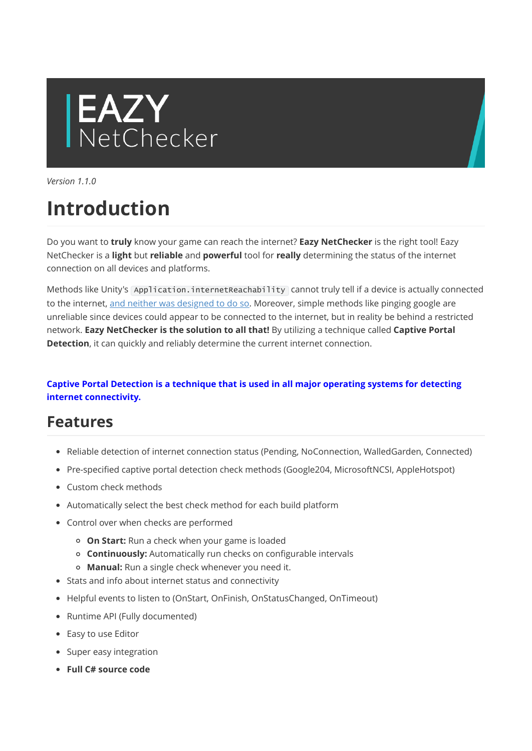# EAZY<br>NetChecker

Version 110

# Introduction

Do you want to truly know your game can reach the internet? Eazy NetChecker is the right tool! Eazy NetChecker is a light but reliable and powerful tool for really determining the status of the internet connection on all devices and platforms.

Methods like Unity's Application.internetReachability cannot truly tell if a device is actually connected to the internet, [and neither was designed to do so](https://docs.unity3d.com/ScriptReference/Application-internetReachability.html). Moreover, simple methods like pinging google are unreliable since devices could appear to be connected to the internet, but in reality be behind a restricted network. Eazy NetChecker is the solution to all that! By utilizing a technique called Captive Portal Detection, it can quickly and reliably determine the current internet connection.

#### Captive Portal Detection is a technique that is used in all major operating systems for detecting internet connectivity.

## Features

- Reliable detection of internet connection status (Pending, NoConnection, WalledGarden, Connected)
- Pre-specified captive portal detection check methods (Google204, MicrosoftNCSI, AppleHotspot)
- Custom check methods
- Automatically select the best check method for each build platform
- Control over when checks are performed
	- o On Start: Run a check when your game is loaded
	- o **Continuously:** Automatically run checks on configurable intervals
	- o Manual: Run a single check whenever you need it.
- Stats and info about internet status and connectivity
- Helpful events to listen to (OnStart, OnFinish, OnStatusChanged, OnTimeout)
- Runtime API (Fully documented)
- Easy to use Editor
- Super easy integration
- Full C# source code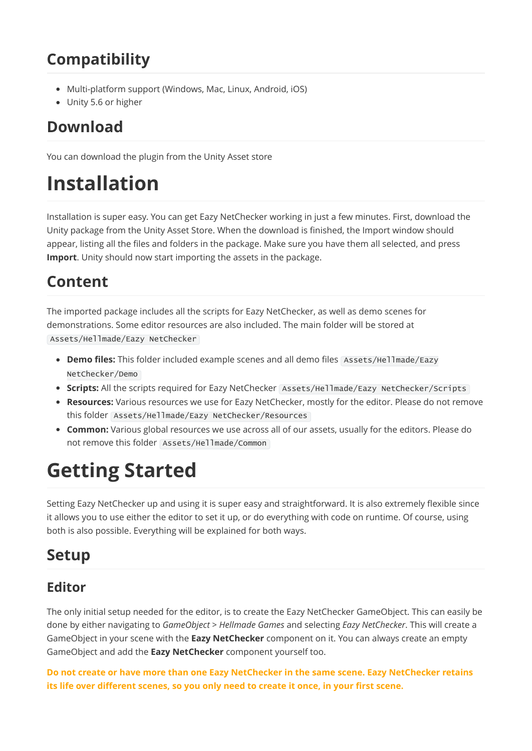# Compatibility

- Multi-platform support (Windows, Mac, Linux, Android, iOS)
- Unity 5.6 or higher

## Download

You can download the plugin from the Unity Asset store

# Installation

Installation is super easy. You can get Eazy NetChecker working in just a few minutes. First, download the Unity package from the Unity Asset Store. When the download is finished, the Import window should appear, listing all the files and folders in the package. Make sure you have them all selected, and press **Import.** Unity should now start importing the assets in the package.

# Content

The imported package includes all the scripts for Eazy NetChecker, as well as demo scenes for demonstrations. Some editor resources are also included. The main folder will be stored at Assets/Hellmade/Eazy NetChecker

- Demo files: This folder included example scenes and all demo files Assets/Hellmade/Eazy NetChecker/Demo
- Scripts: All the scripts required for Eazy NetChecker Assets/Hellmade/Eazy NetChecker/Scripts
- Resources: Various resources we use for Eazy NetChecker, mostly for the editor. Please do not remove this folder Assets/Hellmade/Eazy NetChecker/Resources
- Common: Various global resources we use across all of our assets, usually for the editors. Please do not remove this folder Assets/Hellmade/Common

# Getting Started

Setting Eazy NetChecker up and using it is super easy and straightforward. It is also extremely flexible since it allows you to use either the editor to set it up, or do everything with code on runtime. Of course, using both is also possible. Everything will be explained for both ways.

## Setup

#### Editor

The only initial setup needed for the editor, is to create the Eazy NetChecker GameObject. This can easily be done by either navigating to GameObject > Hellmade Games and selecting Eazy NetChecker. This will create a GameObject in your scene with the Eazy NetChecker component on it. You can always create an empty GameObject and add the **Eazy NetChecker** component yourself too.

Do not create or have more than one Eazy NetChecker in the same scene. Eazy NetChecker retains its life over different scenes, so you only need to create it once, in your first scene.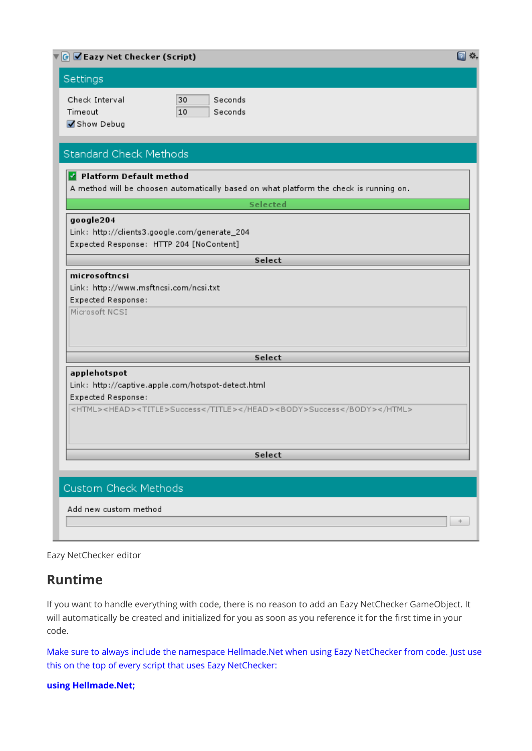| $\sqrt{4}$ $\sqrt{2}$ Eazy Net Checker (Script)      |                                                                                        |  |
|------------------------------------------------------|----------------------------------------------------------------------------------------|--|
| Settings                                             |                                                                                        |  |
| Check Interval<br>Timeout<br>Show Debug              | Seconds<br>30<br>Seconds<br>10                                                         |  |
| Standard Check Methods                               |                                                                                        |  |
| Platform Default method                              | A method will be choosen automatically based on what platform the check is running on. |  |
|                                                      | Selected                                                                               |  |
| google204<br>Expected Response: HTTP 204 [NoContent] | Link: http://clients3.google.com/generate_204                                          |  |
|                                                      | Select                                                                                 |  |
| Expected Response:<br>Microsoft NCSI                 |                                                                                        |  |
|                                                      | Select                                                                                 |  |
| applehotspot<br>Expected Response:                   | Link: http://captive.apple.com/hotspot-detect.html                                     |  |
|                                                      | <html><head><title>Success</title></head><body>Success</body></html>                   |  |
|                                                      | Select                                                                                 |  |
|                                                      |                                                                                        |  |
| Custom Check Methods                                 |                                                                                        |  |
| Add new custom method                                |                                                                                        |  |
|                                                      |                                                                                        |  |
|                                                      |                                                                                        |  |

Eazy NetChecker editor

#### Runtime

If you want to handle everything with code, there is no reason to add an Eazy NetChecker GameObject. It will automatically be created and initialized for you as soon as you reference it for the first time in your code.

Make sure to always include the namespace Hellmade.Net when using Eazy NetChecker from code. Just use this on the top of every script that uses Eazy NetChecker:

using Hellmade.Net;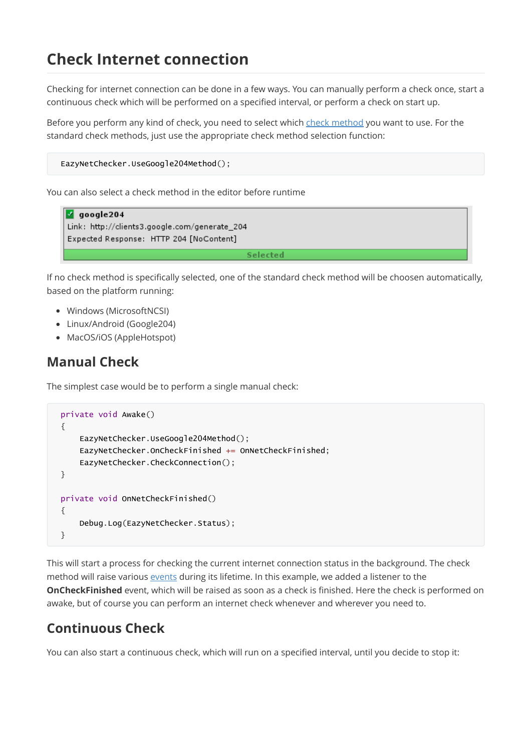# Check Internet connection

Checking for internet connection can be done in a few ways. You can manually perform a check once, start a continuous check which will be performed on a specified interval, or perform a check on start up.

Before you perform any kind of check, you need to select which [check method](https://hellmadegames.gitbook.io/eazy-netchecker/check-methods) you want to use. For the standard check methods, just use the appropriate check method selection function:

```
EazyNetChecker.UseGoogle204Method();
```
You can also select a check method in the editor before runtime

```
\sqrt{q} google 204
Link: http://clients3.google.com/generate_204
Expected Response: HTTP 204 [NoContent]
                                             Selected
```
If no check method is specifically selected, one of the standard check method will be choosen automatically, based on the platform running:

- Windows (MicrosoftNCSI)
- Linux/Android (Google204)
- MacOS/iOS (AppleHotspot)

#### Manual Check

The simplest case would be to perform a single manual check:

```
private void Awake()
{
    EazyNetChecker.UseGoogle204Method();
    EazyNetChecker.OnCheckFinished += OnNetCheckFinished;
    EazyNetChecker.CheckConnection();
}
private void OnNetCheckFinished()
{
    Debug.Log(EazyNetChecker.Status);
}
```
This will start a process for checking the current internet connection status in the background. The check method will raise various [events](https://hellmadegames.gitbook.io/eazy-netchecker/events) during its lifetime. In this example, we added a listener to the OnCheckFinished event, which will be raised as soon as a check is finished. Here the check is performed on awake, but of course you can perform an internet check whenever and wherever you need to.

#### Continuous Check

You can also start a continuous check, which will run on a specified interval, until you decide to stop it: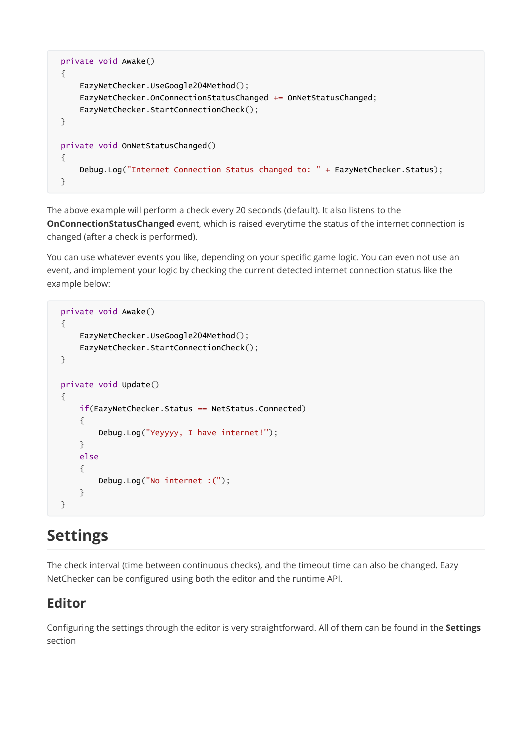```
private void Awake()
{
    EazyNetChecker.UseGoogle204Method();
    EazyNetChecker.OnConnectionStatusChanged += OnNetStatusChanged;
    EazyNetChecker.StartConnectionCheck();
}
private void OnNetStatusChanged()
{
    Debug.Log("Internet Connection Status changed to: " + EazyNetChecker.Status);
}
```
The above example will perform a check every 20 seconds (default). It also listens to the **OnConnectionStatusChanged** event, which is raised everytime the status of the internet connection is changed (after a check is performed).

You can use whatever events you like, depending on your specific game logic. You can even not use an event, and implement your logic by checking the current detected internet connection status like the example below:

```
private void Awake()
{
    EazyNetChecker.UseGoogle204Method();
    EazyNetChecker.StartConnectionCheck();
}
private void Update()
{
    if(EazyNetChecker.Status == NetStatus.Connected)
    {
        Debug.Log("Yeyyyy, I have internet!");
    }
    else
    {
        Debug.Log("No internet :(");
    }
}
```
# Settings

The check interval (time between continuous checks), and the timeout time can also be changed. Eazy NetChecker can be configured using both the editor and the runtime API.

#### Editor

Configuring the settings through the editor is very straightforward. All of them can be found in the Settings section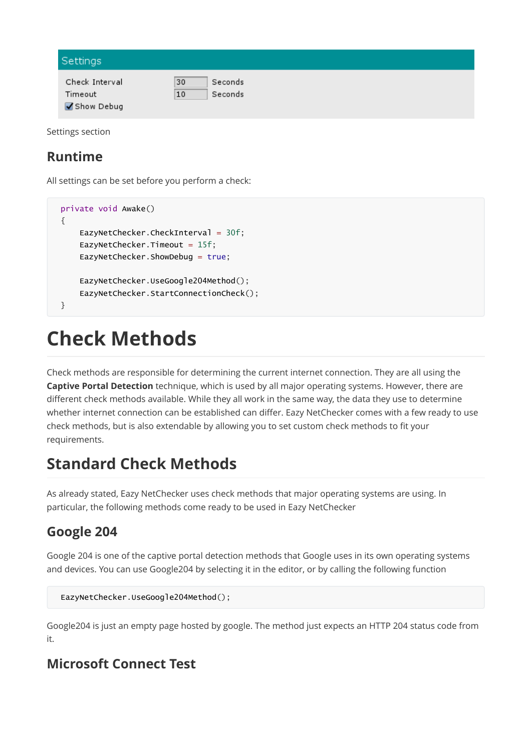| Settings              |               |  |
|-----------------------|---------------|--|
| Check Interval        | 30<br>Seconds |  |
| Timeout<br>Show Debug | 10<br>Seconds |  |

Settings section

#### Runtime

All settings can be set before you perform a check:

```
private void Awake()
{
    EazyNetChecker.CheckInterval = 30f;
    EazyNetChecker.Timeout = 15f;
    EazyNetChecker.ShowDebug = true;
    EazyNetChecker.UseGoogle204Method();
    EazyNetChecker.StartConnectionCheck();
}
```
# Check Methods

Check methods are responsible for determining the current internet connection. They are all using the Captive Portal Detection technique, which is used by all major operating systems. However, there are different check methods available. While they all work in the same way, the data they use to determine whether internet connection can be established can differ. Eazy NetChecker comes with a few ready to use check methods, but is also extendable by allowing you to set custom check methods to fit your requirements.

# Standard Check Methods

As already stated, Eazy NetChecker uses check methods that major operating systems are using. In particular, the following methods come ready to be used in Eazy NetChecker

#### Google 204

Google 204 is one of the captive portal detection methods that Google uses in its own operating systems and devices. You can use Google204 by selecting it in the editor, or by calling the following function

```
EazyNetChecker.UseGoogle204Method();
```
Google204 is just an empty page hosted by google. The method just expects an HTTP 204 status code from it.

#### Microsoft Connect Test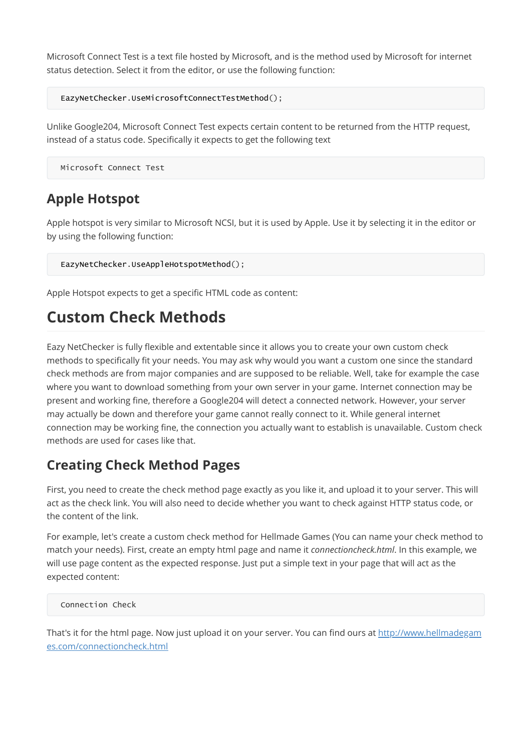Microsoft Connect Test is a text file hosted by Microsoft, and is the method used by Microsoft for internet status detection. Select it from the editor, or use the following function:

```
EazyNetChecker.UseMicrosoftConnectTestMethod();
```
Unlike Google204, Microsoft Connect Test expects certain content to be returned from the HTTP request, instead of a status code. Specifically it expects to get the following text

```
Microsoft Connect Test
```
### Apple Hotspot

Apple hotspot is very similar to Microsoft NCSI, but it is used by Apple. Use it by selecting it in the editor or by using the following function:

EazyNetChecker.UseAppleHotspotMethod();

Apple Hotspot expects to get a specific HTML code as content:

# Custom Check Methods

Eazy NetChecker is fully flexible and extentable since it allows you to create your own custom check methods to specifically fit your needs. You may ask why would you want a custom one since the standard check methods are from major companies and are supposed to be reliable. Well, take for example the case where you want to download something from your own server in your game. Internet connection may be present and working fine, therefore a Google204 will detect a connected network. However, your server may actually be down and therefore your game cannot really connect to it. While general internet connection may be working fine, the connection you actually want to establish is unavailable. Custom check methods are used for cases like that.

#### Creating Check Method Pages

First, you need to create the check method page exactly as you like it, and upload it to your server. This will act as the check link. You will also need to decide whether you want to check against HTTP status code, or the content of the link.

For example, let's create a custom check method for Hellmade Games (You can name your check method to match your needs). First, create an empty html page and name it *connectioncheck.html*. In this example, we will use page content as the expected response. Just put a simple text in your page that will act as the expected content:

Connection Check

[That's it for the html page. Now just upload it on your server. You can find ours at http://www.hellmadegam](http://www.hellmadegames.com/connectioncheck.html) es.com/connectioncheck.html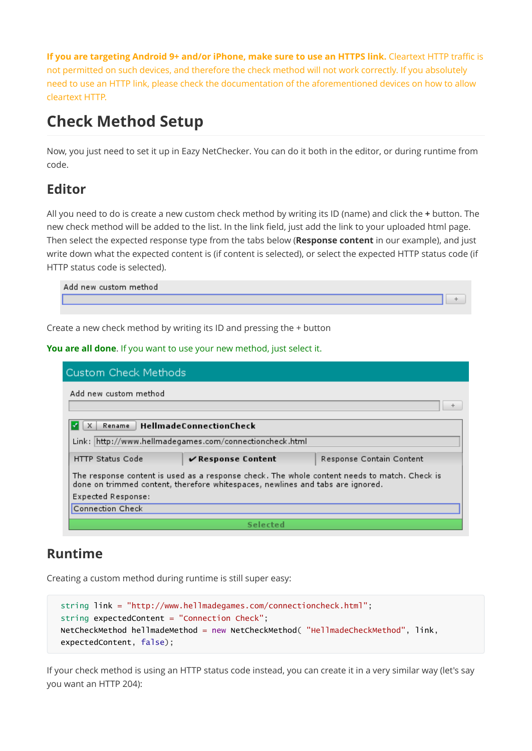If you are targeting Android 9+ and/or iPhone, make sure to use an HTTPS link. Cleartext HTTP traffic is not permitted on such devices, and therefore the check method will not work correctly. If you absolutely need to use an HTTP link, please check the documentation of the aforementioned devices on how to allow cleartext HTTP.

# Check Method Setup

Now, you just need to set it up in Eazy NetChecker. You can do it both in the editor, or during runtime from code.

#### Editor

All you need to do is create a new custom check method by writing its ID (name) and click the + button. The new check method will be added to the list. In the link field, just add the link to your uploaded html page. Then select the expected response type from the tabs below (Response content in our example), and just write down what the expected content is (if content is selected), or select the expected HTTP status code (if HTTP status code is selected).

| Add new custom method |  |
|-----------------------|--|
|                       |  |
|                       |  |

Create a new check method by writing its ID and pressing the + button

#### You are all done. If you want to use your new method, just select it.

| <b>Custom Check Methods</b>                                                                                                                                                    |                                            |                          |  |  |  |  |
|--------------------------------------------------------------------------------------------------------------------------------------------------------------------------------|--------------------------------------------|--------------------------|--|--|--|--|
| Add new custom method                                                                                                                                                          |                                            |                          |  |  |  |  |
| HellmadeConnectionCheck<br>Rename<br>Link: http://www.hellmadegames.com/connectioncheck.html                                                                                   |                                            |                          |  |  |  |  |
| <b>HTTP Status Code</b>                                                                                                                                                        | $\boldsymbol{\checkmark}$ Response Content | Response Contain Content |  |  |  |  |
| The response content is used as a response check. The whole content needs to match. Check is<br>done on trimmed content, therefore whitespaces, newlines and tabs are ignored. |                                            |                          |  |  |  |  |
| Expected Response:                                                                                                                                                             |                                            |                          |  |  |  |  |
| Connection Check                                                                                                                                                               |                                            |                          |  |  |  |  |
| Selected                                                                                                                                                                       |                                            |                          |  |  |  |  |

#### Runtime

Creating a custom method during runtime is still super easy:

```
string link = "http://www.hellmadegames.com/connectioncheck.html";
string expectedContent = "Connection Check";
NetCheckMethod hellmadeMethod = new NetCheckMethod( "HellmadeCheckMethod", link,
expectedContent, false);
```
If your check method is using an HTTP status code instead, you can create it in a very similar way (let's say you want an HTTP 204):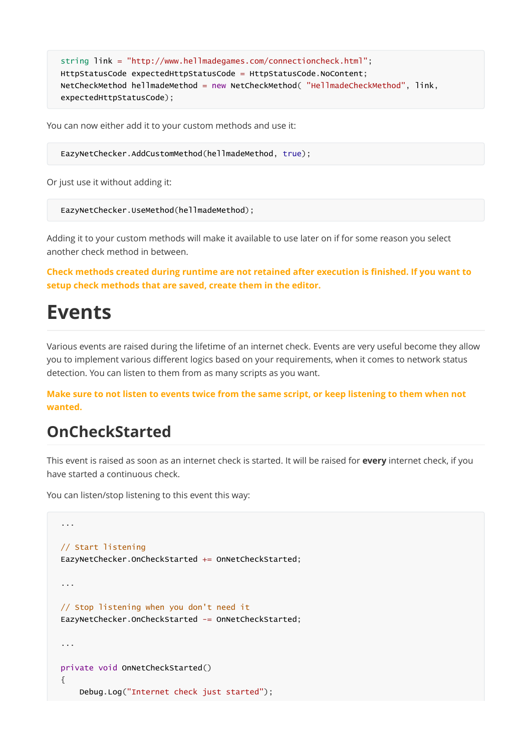```
string link = "http://www.hellmadegames.com/connectioncheck.html";
HttpStatusCode expectedHttpStatusCode = HttpStatusCode.NoContent;
NetCheckMethod hellmadeMethod = new NetCheckMethod( "HellmadeCheckMethod", link,
expectedHttpStatusCode);
```
You can now either add it to your custom methods and use it:

EazyNetChecker.AddCustomMethod(hellmadeMethod, true);

Or just use it without adding it:

EazyNetChecker.UseMethod(hellmadeMethod);

Adding it to your custom methods will make it available to use later on if for some reason you select another check method in between.

Check methods created during runtime are not retained after execution is finished. If you want to setup check methods that are saved, create them in the editor.

# Events

Various events are raised during the lifetime of an internet check. Events are very useful become they allow you to implement various different logics based on your requirements, when it comes to network status detection. You can listen to them from as many scripts as you want.

Make sure to not listen to events twice from the same script, or keep listening to them when not wanted.

#### OnCheckStarted

This event is raised as soon as an internet check is started. It will be raised for every internet check, if you have started a continuous check.

You can listen/stop listening to this event this way:

```
...
// Start listening
EazyNetChecker.OnCheckStarted += OnNetCheckStarted;
...
// Stop listening when you don't need it
EazyNetChecker.OnCheckStarted -= OnNetCheckStarted;
...
private void OnNetCheckStarted()
{
    Debug.Log("Internet check just started");
```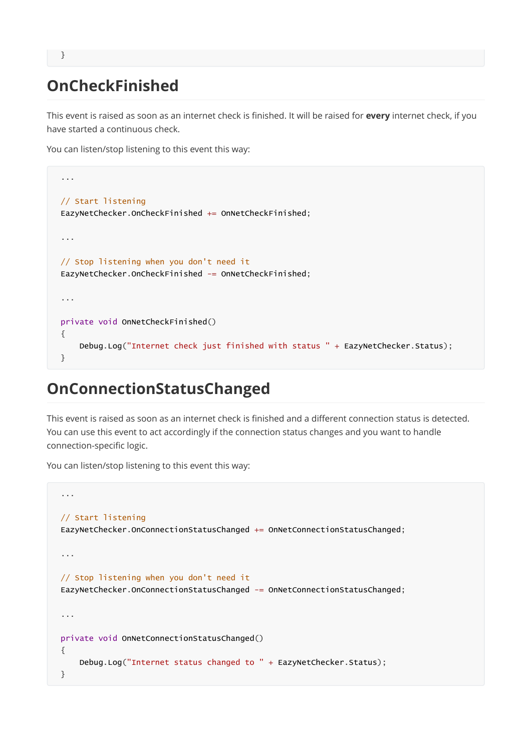# OnCheckFinished

This event is raised as soon as an internet check is finished. It will be raised for every internet check, if you have started a continuous check.

You can listen/stop listening to this event this way:

```
...
// Start listening
EazyNetChecker.OnCheckFinished += OnNetCheckFinished;
...
// Stop listening when you don't need it
EazyNetChecker.OnCheckFinished -= OnNetCheckFinished;
...
private void OnNetCheckFinished()
{
   Debug.Log("Internet check just finished with status " + EazyNetChecker.Status);
}
```
# OnConnectionStatusChanged

This event is raised as soon as an internet check is finished and a different connection status is detected. You can use this event to act accordingly if the connection status changes and you want to handle connection-specific logic.

You can listen/stop listening to this event this way:

```
...
// Start listening
EazyNetChecker.OnConnectionStatusChanged += OnNetConnectionStatusChanged;
...
// Stop listening when you don't need it
EazyNetChecker.OnConnectionStatusChanged -= OnNetConnectionStatusChanged;
...
private void OnNetConnectionStatusChanged()
{
    Debug.Log("Internet status changed to " + EazyNetChecker.Status);
}
```
}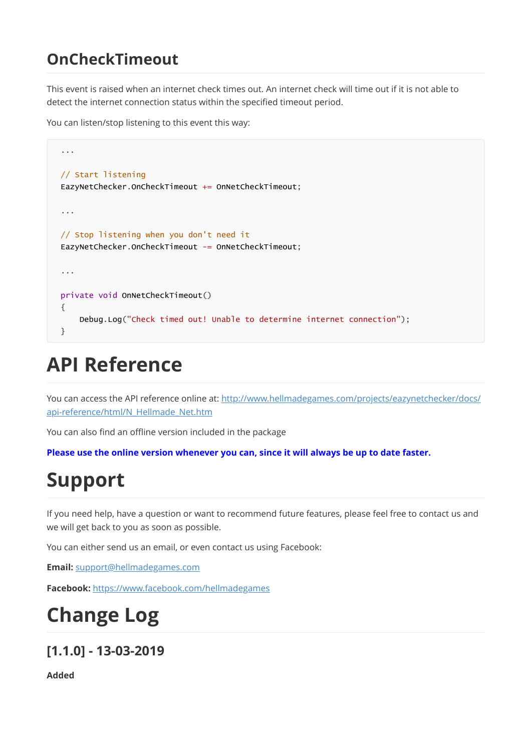# OnCheckTimeout

This event is raised when an internet check times out. An internet check will time out if it is not able to detect the internet connection status within the specified timeout period.

You can listen/stop listening to this event this way:

```
...
// Start listening
EazyNetChecker.OnCheckTimeout += OnNetCheckTimeout;
...
// Stop listening when you don't need it
EazyNetChecker.OnCheckTimeout -= OnNetCheckTimeout;
...
private void OnNetCheckTimeout()
{
    Debug.Log("Check timed out! Unable to determine internet connection");
}
```
# API Reference

[You can access the API reference online at: http://www.hellmadegames.com/projects/eazynetchecker/docs/](http://www.hellmadegames.com/projects/eazynetchecker/docs/api-reference/html/N_Hellmade_Net.htm) api-reference/html/N\_Hellmade\_Net.htm

You can also find an offline version included in the package

Please use the online version whenever you can, since it will always be up to date faster.

# Support

If you need help, have a question or want to recommend future features, please feel free to contact us and we will get back to you as soon as possible.

You can either send us an email, or even contact us using Facebook:

Email: [support@hellmadegames.com](mailto:support@hellmadegames.com)

Facebook: <https://www.facebook.com/hellmadegames>

# Change Log

#### [1.1.0] - 13-03-2019

Added